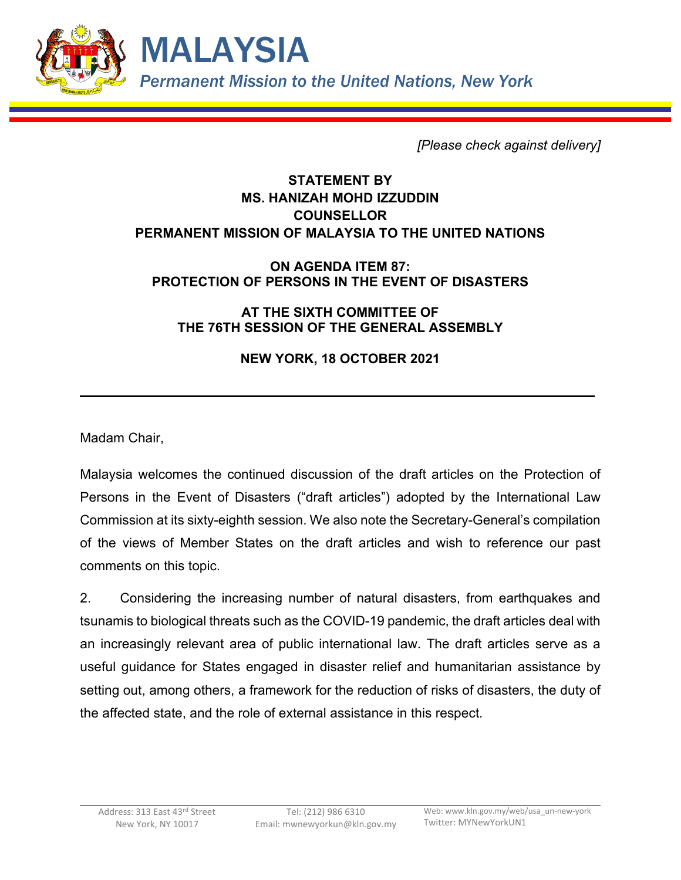

*[Please check against delivery]*

## **STATEMENT BY MS. HANIZAH MOHD IZZUDDIN COUNSELLOR PERMANENT MISSION OF MALAYSIA TO THE UNITED NATIONS**

## **ON AGENDA ITEM 87: PROTECTION OF PERSONS IN THE EVENT OF DISASTERS**

## **AT THE SIXTH COMMITTEE OF THE 76TH SESSION OF THE GENERAL ASSEMBLY**

## **NEW YORK, 18 OCTOBER 2021**

Madam Chair,

Malaysia welcomes the continued discussion of the draft articles on the Protection of Persons in the Event of Disasters ("draft articles") adopted by the International Law Commission at its sixty-eighth session. We also note the Secretary-General's compilation of the views of Member States on the draft articles and wish to reference our past comments on this topic.

2. Considering the increasing number of natural disasters, from earthquakes and tsunamis to biological threats such as the COVID-19 pandemic, the draft articles deal with an increasingly relevant area of public international law. The draft articles serve as a useful guidance for States engaged in disaster relief and humanitarian assistance by setting out, among others, a framework for the reduction of risks of disasters, the duty of the affected state, and the role of external assistance in this respect.